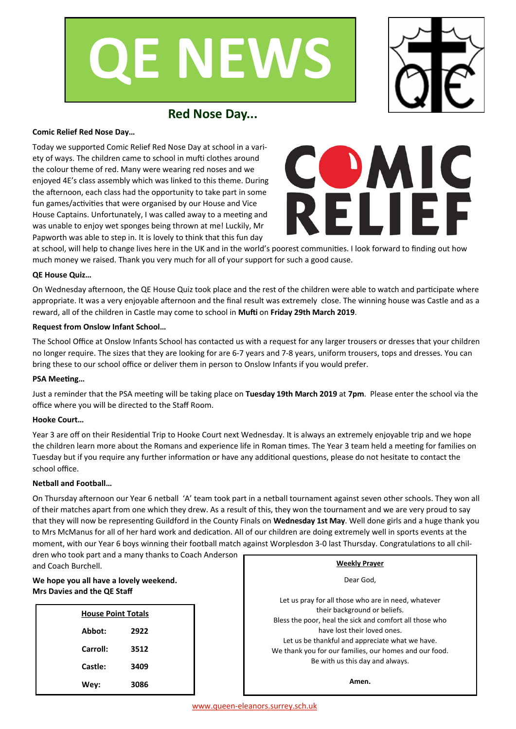



# **Red Nose Day...**

### **Comic Relief Red Nose Day…**

Today we supported Comic Relief Red Nose Day at school in a variety of ways. The children came to school in mufti clothes around the colour theme of red. Many were wearing red noses and we enjoyed 4E's class assembly which was linked to this theme. During the afternoon, each class had the opportunity to take part in some fun games/activities that were organised by our House and Vice House Captains. Unfortunately, I was called away to a meeting and was unable to enjoy wet sponges being thrown at me! Luckily, Mr Papworth was able to step in. It is lovely to think that this fun day



at school, will help to change lives here in the UK and in the world's poorest communities. I look forward to finding out how much money we raised. Thank you very much for all of your support for such a good cause.

# **QE House Quiz…**

On Wednesday afternoon, the QE House Quiz took place and the rest of the children were able to watch and participate where appropriate. It was a very enjoyable afternoon and the final result was extremely close. The winning house was Castle and as a reward, all of the children in Castle may come to school in **Mufti** on **Friday 29th March 2019**.

#### **Request from Onslow Infant School…**

The School Office at Onslow Infants School has contacted us with a request for any larger trousers or dresses that your children no longer require. The sizes that they are looking for are 6-7 years and 7-8 years, uniform trousers, tops and dresses. You can bring these to our school office or deliver them in person to Onslow Infants if you would prefer.

#### **PSA Meeting…**

Just a reminder that the PSA meeting will be taking place on **Tuesday 19th March 2019** at **7pm**. Please enter the school via the office where you will be directed to the Staff Room.

#### **Hooke Court…**

Year 3 are off on their Residential Trip to Hooke Court next Wednesday. It is always an extremely enjoyable trip and we hope the children learn more about the Romans and experience life in Roman times. The Year 3 team held a meeting for families on Tuesday but if you require any further information or have any additional questions, please do not hesitate to contact the school office.

# **Netball and Football…**

On Thursday afternoon our Year 6 netball 'A' team took part in a netball tournament against seven other schools. They won all of their matches apart from one which they drew. As a result of this, they won the tournament and we are very proud to say that they will now be representing Guildford in the County Finals on **Wednesday 1st May**. Well done girls and a huge thank you to Mrs McManus for all of her hard work and dedication. All of our children are doing extremely well in sports events at the moment, with our Year 6 boys winning their football match against Worplesdon 3-0 last Thursday. Congratulations to all chil-

dren who took part and a many thanks to Coach Anderson and Coach Burchell.

# **We hope you all have a lovely weekend. Mrs Davies and the QE Staff**

| <b>House Point Totals</b> |      |  |  |
|---------------------------|------|--|--|
| Abbot:                    | 2922 |  |  |
| Carroll:                  | 3512 |  |  |
| Castle:                   | 3409 |  |  |
| Wev:                      | 3086 |  |  |

| ,,,,,,,,,, | <b>Weekly Prayer</b>                                                                                                                                                                                                                                                                                                          |  |  |
|------------|-------------------------------------------------------------------------------------------------------------------------------------------------------------------------------------------------------------------------------------------------------------------------------------------------------------------------------|--|--|
|            | Dear God,                                                                                                                                                                                                                                                                                                                     |  |  |
|            | Let us pray for all those who are in need, whatever<br>their background or beliefs.<br>Bless the poor, heal the sick and comfort all those who<br>have lost their loved ones.<br>Let us be thankful and appreciate what we have.<br>We thank you for our families, our homes and our food.<br>Be with us this day and always. |  |  |
|            | Amen.                                                                                                                                                                                                                                                                                                                         |  |  |